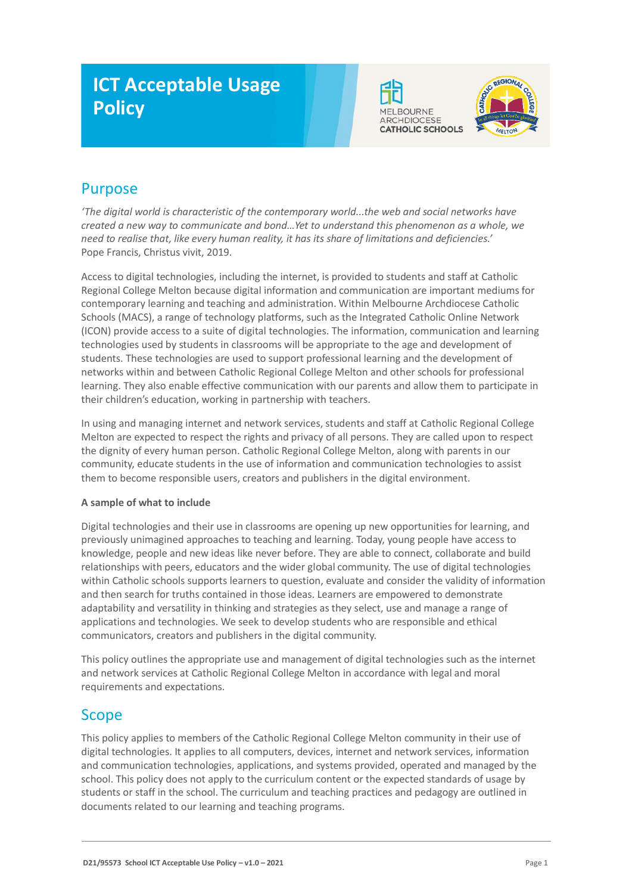# **ICT Acceptable Usage Policy**





# Purpose

*'The digital world is characteristic of the contemporary world...the web and social networks have created a new way to communicate and bond…Yet to understand this phenomenon as a whole, we need to realise that, like every human reality, it has its share of limitations and deficiencies.'* Pope Francis, Christus vivit, 2019.

Access to digital technologies, including the internet, is provided to students and staff at Catholic Regional College Melton because digital information and communication are important mediums for contemporary learning and teaching and administration. Within Melbourne Archdiocese Catholic Schools (MACS), a range of technology platforms, such as the Integrated Catholic Online Network (ICON) provide access to a suite of digital technologies. The information, communication and learning technologies used by students in classrooms will be appropriate to the age and development of students. These technologies are used to support professional learning and the development of networks within and between Catholic Regional College Melton and other schools for professional learning. They also enable effective communication with our parents and allow them to participate in their children's education, working in partnership with teachers.

In using and managing internet and network services, students and staff at Catholic Regional College Melton are expected to respect the rights and privacy of all persons. They are called upon to respect the dignity of every human person. Catholic Regional College Melton, along with parents in our community, educate students in the use of information and communication technologies to assist them to become responsible users, creators and publishers in the digital environment.

#### **A sample of what to include**

Digital technologies and their use in classrooms are opening up new opportunities for learning, and previously unimagined approaches to teaching and learning. Today, young people have access to knowledge, people and new ideas like never before. They are able to connect, collaborate and build relationships with peers, educators and the wider global community. The use of digital technologies within Catholic schools supports learners to question, evaluate and consider the validity of information and then search for truths contained in those ideas. Learners are empowered to demonstrate adaptability and versatility in thinking and strategies as they select, use and manage a range of applications and technologies. We seek to develop students who are responsible and ethical communicators, creators and publishers in the digital community.

This policy outlines the appropriate use and management of digital technologies such as the internet and network services at Catholic Regional College Melton in accordance with legal and moral requirements and expectations.

### Scope

This policy applies to members of the Catholic Regional College Melton community in their use of digital technologies. It applies to all computers, devices, internet and network services, information and communication technologies, applications, and systems provided, operated and managed by the school. This policy does not apply to the curriculum content or the expected standards of usage by students or staff in the school. The curriculum and teaching practices and pedagogy are outlined in documents related to our learning and teaching programs.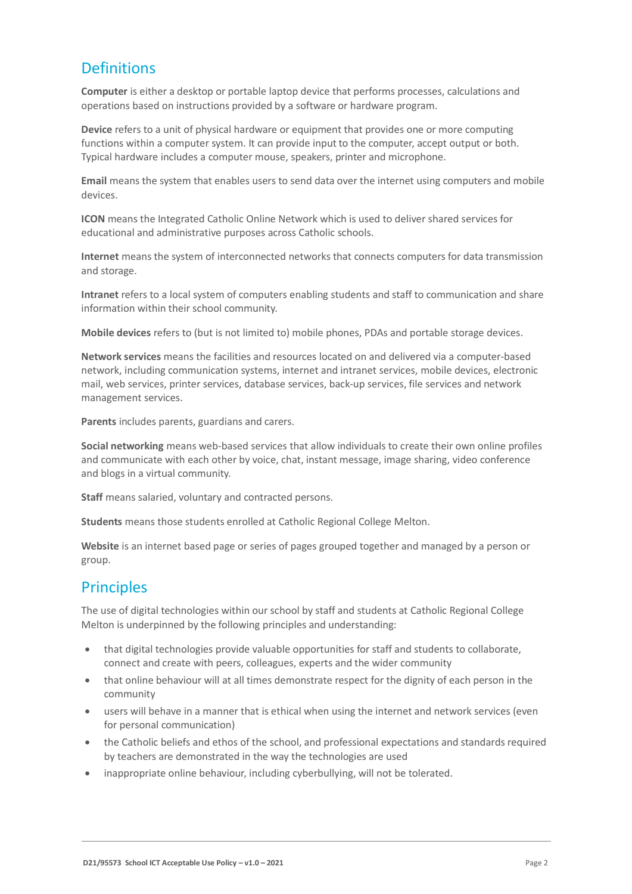## **Definitions**

**Computer** is either a desktop or portable laptop device that performs processes, calculations and operations based on instructions provided by a software or hardware program.

**Device** refers to a unit of physical hardware or equipment that provides one or more computing functions within a computer system. It can provide input to the computer, accept output or both. Typical hardware includes a computer mouse, speakers, printer and microphone.

**Email** means the system that enables users to send data over the internet using computers and mobile devices.

**ICON** means the Integrated Catholic Online Network which is used to deliver shared services for educational and administrative purposes across Catholic schools.

**Internet** means the system of interconnected networks that connects computers for data transmission and storage.

**Intranet** refers to a local system of computers enabling students and staff to communication and share information within their school community.

**Mobile devices** refers to (but is not limited to) mobile phones, PDAs and portable storage devices.

**Network services** means the facilities and resources located on and delivered via a computer-based network, including communication systems, internet and intranet services, mobile devices, electronic mail, web services, printer services, database services, back-up services, file services and network management services.

**Parents** includes parents, guardians and carers.

**Social networking** means web-based services that allow individuals to create their own online profiles and communicate with each other by voice, chat, instant message, image sharing, video conference and blogs in a virtual community.

**Staff** means salaried, voluntary and contracted persons.

**Students** means those students enrolled at Catholic Regional College Melton.

**Website** is an internet based page or series of pages grouped together and managed by a person or group.

### **Principles**

The use of digital technologies within our school by staff and students at Catholic Regional College Melton is underpinned by the following principles and understanding:

- that digital technologies provide valuable opportunities for staff and students to collaborate, connect and create with peers, colleagues, experts and the wider community
- that online behaviour will at all times demonstrate respect for the dignity of each person in the community
- users will behave in a manner that is ethical when using the internet and network services (even for personal communication)
- the Catholic beliefs and ethos of the school, and professional expectations and standards required by teachers are demonstrated in the way the technologies are used
- inappropriate online behaviour, including cyberbullying, will not be tolerated.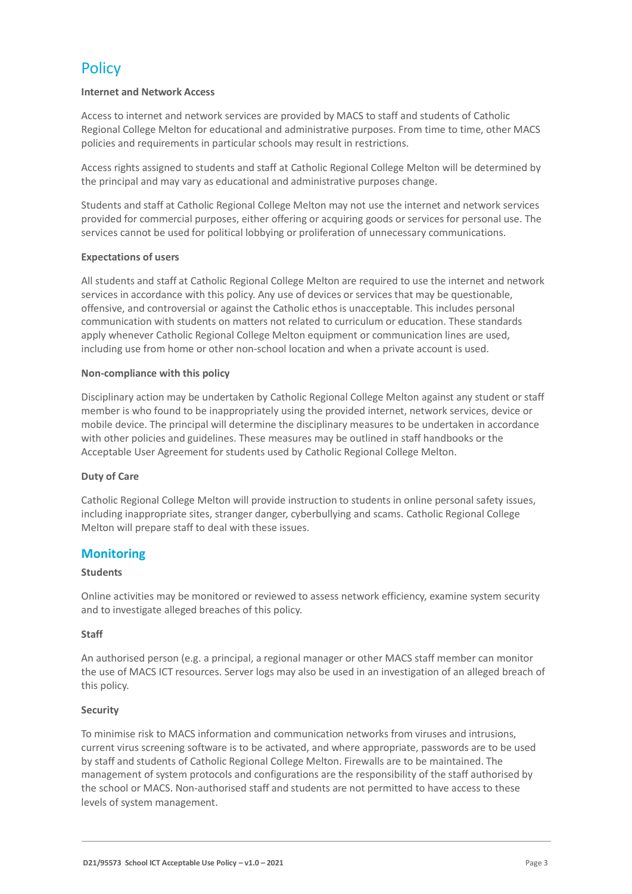# **Policy**

#### **Internet and Network Access**

Access to internet and network services are provided by MACS to staff and students of Catholic Regional College Melton for educational and administrative purposes. From time to time, other MACS policies and requirements in particular schools may result in restrictions.

Access rights assigned to students and staff at Catholic Regional College Melton will be determined by the principal and may vary as educational and administrative purposes change.

Students and staff at Catholic Regional College Melton may not use the internet and network services provided for commercial purposes, either offering or acquiring goods or services for personal use. The services cannot be used for political lobbying or proliferation of unnecessary communications.

#### **Expectations of users**

All students and staff at Catholic Regional College Melton are required to use the internet and network services in accordance with this policy. Any use of devices or services that may be questionable, offensive, and controversial or against the Catholic ethos is unacceptable. This includes personal communication with students on matters not related to curriculum or education. These standards apply whenever Catholic Regional College Melton equipment or communication lines are used, including use from home or other non-school location and when a private account is used.

#### **Non-compliance with this policy**

Disciplinary action may be undertaken by Catholic Regional College Melton against any student or staff member is who found to be inappropriately using the provided internet, network services, device or mobile device. The principal will determine the disciplinary measures to be undertaken in accordance with other policies and guidelines. These measures may be outlined in staff handbooks or the Acceptable User Agreement for students used by Catholic Regional College Melton.

#### **Duty of Care**

Catholic Regional College Melton will provide instruction to students in online personal safety issues, including inappropriate sites, stranger danger, cyberbullying and scams. Catholic Regional College Melton will prepare staff to deal with these issues.

#### **Monitoring**

#### **Students**

Online activities may be monitored or reviewed to assess network efficiency, examine system security and to investigate alleged breaches of this policy.

#### **Staff**

An authorised person (e.g. a principal, a regional manager or other MACS staff member can monitor the use of MACS ICT resources. Server logs may also be used in an investigation of an alleged breach of this policy.

#### **Security**

To minimise risk to MACS information and communication networks from viruses and intrusions, current virus screening software is to be activated, and where appropriate, passwords are to be used by staff and students of Catholic Regional College Melton. Firewalls are to be maintained. The management of system protocols and configurations are the responsibility of the staff authorised by the school or MACS. Non-authorised staff and students are not permitted to have access to these levels of system management.